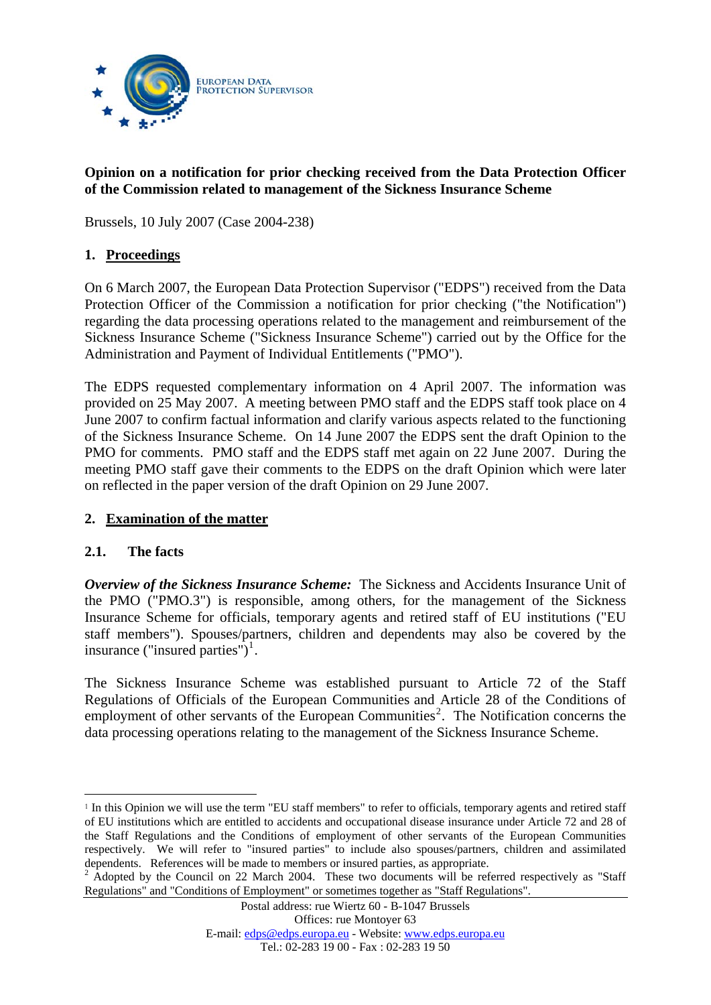

## **Opinion on a notification for prior checking received from the Data Protection Officer of the Commission related to management of the Sickness Insurance Scheme**

Brussels, 10 July 2007 (Case 2004-238)

### **1. Proceedings**

On 6 March 2007, the European Data Protection Supervisor ("EDPS") received from the Data Protection Officer of the Commission a notification for prior checking ("the Notification") regarding the data processing operations related to the management and reimbursement of the Sickness Insurance Scheme ("Sickness Insurance Scheme") carried out by the Office for the Administration and Payment of Individual Entitlements ("PMO").

The EDPS requested complementary information on 4 April 2007. The information was provided on 25 May 2007. A meeting between PMO staff and the EDPS staff took place on 4 June 2007 to confirm factual information and clarify various aspects related to the functioning of the Sickness Insurance Scheme. On 14 June 2007 the EDPS sent the draft Opinion to the PMO for comments. PMO staff and the EDPS staff met again on 22 June 2007. During the meeting PMO staff gave their comments to the EDPS on the draft Opinion which were later on reflected in the paper version of the draft Opinion on 29 June 2007.

### **2. Examination of the matter**

#### **2.1. The facts**

1

*Overview of the Sickness Insurance Scheme:* The Sickness and Accidents Insurance Unit of the PMO ("PMO.3") is responsible, among others, for the management of the Sickness Insurance Scheme for officials, temporary agents and retired staff of EU institutions ("EU staff members"). Spouses/partners, children and dependents may also be covered by the insurance ("insured parties")<sup>[1](#page-0-0)</sup>.

The Sickness Insurance Scheme was established pursuant to Article 72 of the Staff Regulations of Officials of the European Communities and Article 28 of the Conditions of employment of other servants of the European Communities<sup>[2](#page-0-1)</sup>. The Notification concerns the data processing operations relating to the management of the Sickness Insurance Scheme.

<span id="page-0-0"></span><sup>1</sup> In this Opinion we will use the term "EU staff members" to refer to officials, temporary agents and retired staff of EU institutions which are entitled to accidents and occupational disease insurance under Article 72 and 28 of the Staff Regulations and the Conditions of employment of other servants of the European Communities respectively. We will refer to "insured parties" to include also spouses/partners, children and assimilated dependents. References will be made to members or insured parties, as appropriate.

<span id="page-0-1"></span> $2\overline{)}$  Adopted by the Council on 22 March 2004. These two documents will be referred respectively as "Staff" Regulations" and "Conditions of Employment" or sometimes together as "Staff Regulations".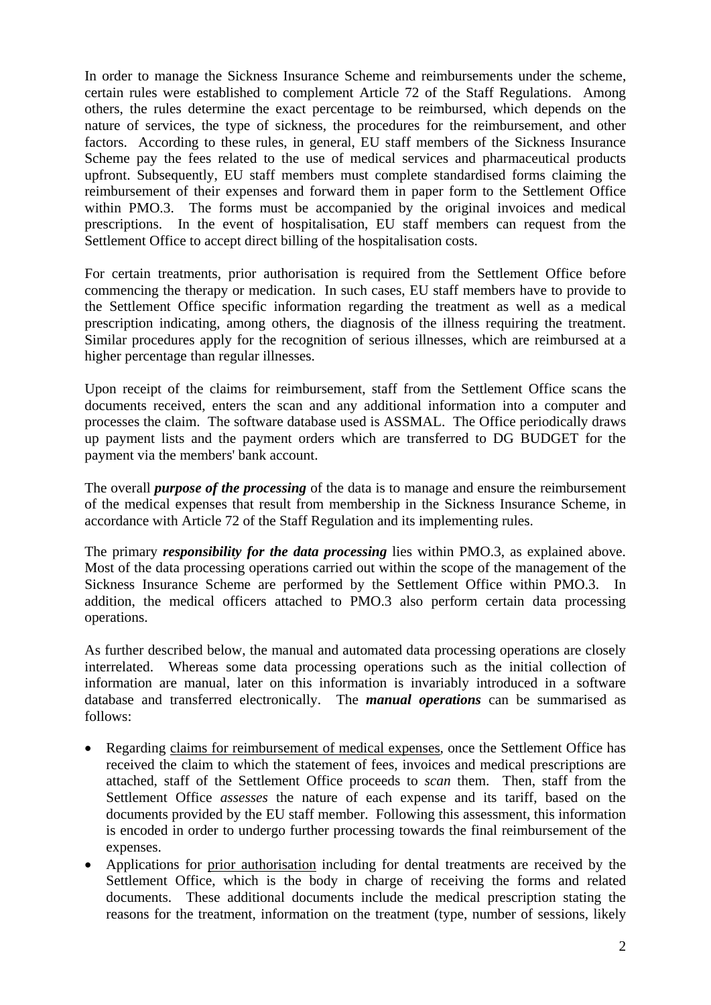In order to manage the Sickness Insurance Scheme and reimbursements under the scheme, certain rules were established to complement Article 72 of the Staff Regulations. Among others, the rules determine the exact percentage to be reimbursed, which depends on the nature of services, the type of sickness, the procedures for the reimbursement, and other factors. According to these rules, in general, EU staff members of the Sickness Insurance Scheme pay the fees related to the use of medical services and pharmaceutical products upfront. Subsequently, EU staff members must complete standardised forms claiming the reimbursement of their expenses and forward them in paper form to the Settlement Office within PMO.3. The forms must be accompanied by the original invoices and medical prescriptions. In the event of hospitalisation, EU staff members can request from the Settlement Office to accept direct billing of the hospitalisation costs.

For certain treatments, prior authorisation is required from the Settlement Office before commencing the therapy or medication. In such cases, EU staff members have to provide to the Settlement Office specific information regarding the treatment as well as a medical prescription indicating, among others, the diagnosis of the illness requiring the treatment. Similar procedures apply for the recognition of serious illnesses, which are reimbursed at a higher percentage than regular illnesses.

Upon receipt of the claims for reimbursement, staff from the Settlement Office scans the documents received, enters the scan and any additional information into a computer and processes the claim. The software database used is ASSMAL. The Office periodically draws up payment lists and the payment orders which are transferred to DG BUDGET for the payment via the members' bank account.

The overall *purpose of the processing* of the data is to manage and ensure the reimbursement of the medical expenses that result from membership in the Sickness Insurance Scheme, in accordance with Article 72 of the Staff Regulation and its implementing rules.

The primary *responsibility for the data processing* lies within PMO.3, as explained above. Most of the data processing operations carried out within the scope of the management of the Sickness Insurance Scheme are performed by the Settlement Office within PMO.3. In addition, the medical officers attached to PMO.3 also perform certain data processing operations.

As further described below, the manual and automated data processing operations are closely interrelated. Whereas some data processing operations such as the initial collection of information are manual, later on this information is invariably introduced in a software database and transferred electronically. The *manual operations* can be summarised as follows:

- Regarding claims for reimbursement of medical expenses, once the Settlement Office has received the claim to which the statement of fees, invoices and medical prescriptions are attached, staff of the Settlement Office proceeds to *scan* them. Then, staff from the Settlement Office *assesses* the nature of each expense and its tariff, based on the documents provided by the EU staff member. Following this assessment, this information is encoded in order to undergo further processing towards the final reimbursement of the expenses.
- Applications for prior authorisation including for dental treatments are received by the Settlement Office, which is the body in charge of receiving the forms and related documents. These additional documents include the medical prescription stating the reasons for the treatment, information on the treatment (type, number of sessions, likely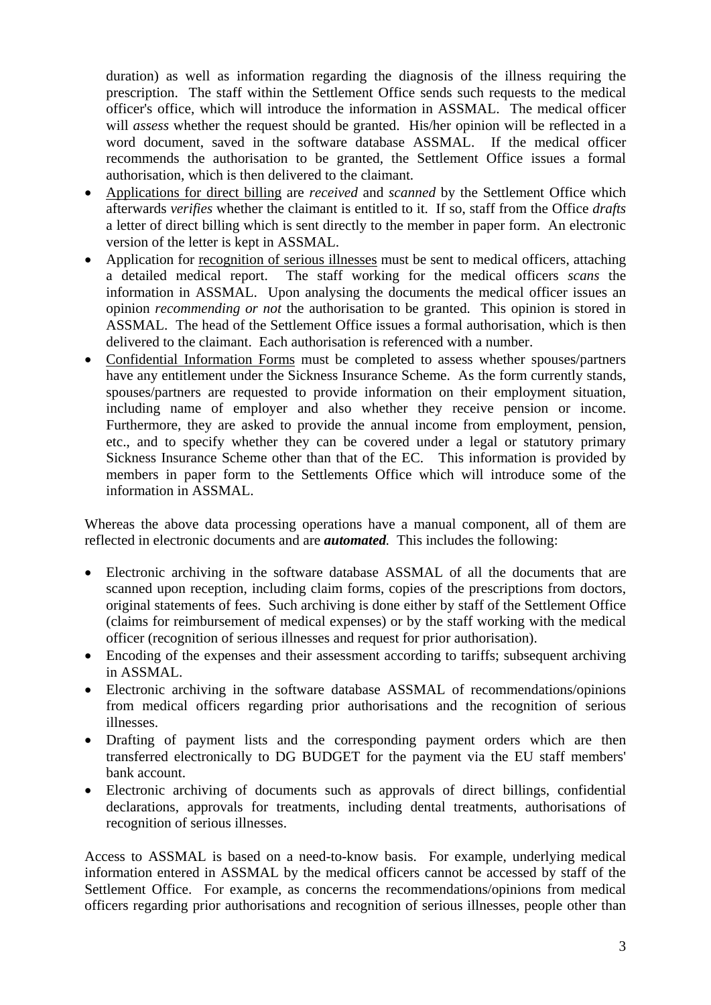duration) as well as information regarding the diagnosis of the illness requiring the prescription. The staff within the Settlement Office sends such requests to the medical officer's office, which will introduce the information in ASSMAL. The medical officer will *assess* whether the request should be granted. His/her opinion will be reflected in a word document, saved in the software database ASSMAL. If the medical officer recommends the authorisation to be granted, the Settlement Office issues a formal authorisation, which is then delivered to the claimant.

- Applications for direct billing are *received* and *scanned* by the Settlement Office which afterwards *verifies* whether the claimant is entitled to it. If so, staff from the Office *drafts* a letter of direct billing which is sent directly to the member in paper form. An electronic version of the letter is kept in ASSMAL.
- Application for recognition of serious illnesses must be sent to medical officers, attaching a detailed medical report. The staff working for the medical officers *scans* the information in ASSMAL. Upon analysing the documents the medical officer issues an opinion *recommending or not* the authorisation to be granted. This opinion is stored in ASSMAL. The head of the Settlement Office issues a formal authorisation, which is then delivered to the claimant. Each authorisation is referenced with a number.
- Confidential Information Forms must be completed to assess whether spouses/partners have any entitlement under the Sickness Insurance Scheme. As the form currently stands, spouses/partners are requested to provide information on their employment situation, including name of employer and also whether they receive pension or income. Furthermore, they are asked to provide the annual income from employment, pension, etc., and to specify whether they can be covered under a legal or statutory primary Sickness Insurance Scheme other than that of the EC. This information is provided by members in paper form to the Settlements Office which will introduce some of the information in ASSMAL.

Whereas the above data processing operations have a manual component, all of them are reflected in electronic documents and are *automated.* This includes the following:

- Electronic archiving in the software database ASSMAL of all the documents that are scanned upon reception, including claim forms, copies of the prescriptions from doctors, original statements of fees. Such archiving is done either by staff of the Settlement Office (claims for reimbursement of medical expenses) or by the staff working with the medical officer (recognition of serious illnesses and request for prior authorisation).
- Encoding of the expenses and their assessment according to tariffs; subsequent archiving in ASSMAL.
- Electronic archiving in the software database ASSMAL of recommendations/opinions from medical officers regarding prior authorisations and the recognition of serious illnesses.
- Drafting of payment lists and the corresponding payment orders which are then transferred electronically to DG BUDGET for the payment via the EU staff members' bank account.
- Electronic archiving of documents such as approvals of direct billings, confidential declarations, approvals for treatments, including dental treatments, authorisations of recognition of serious illnesses.

Access to ASSMAL is based on a need-to-know basis. For example, underlying medical information entered in ASSMAL by the medical officers cannot be accessed by staff of the Settlement Office. For example, as concerns the recommendations/opinions from medical officers regarding prior authorisations and recognition of serious illnesses, people other than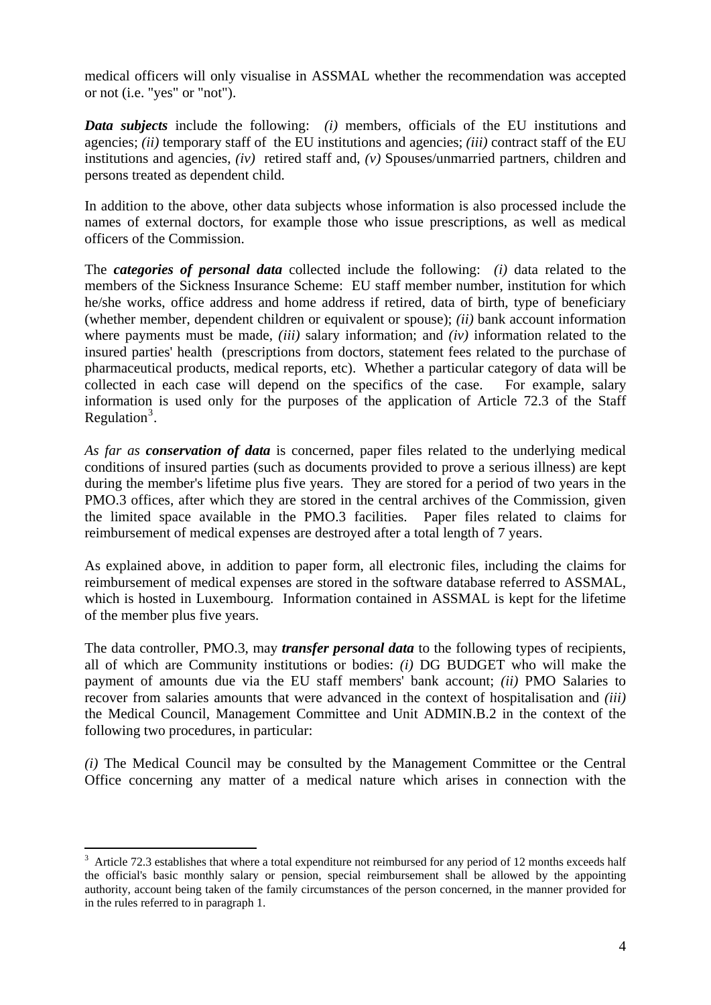medical officers will only visualise in ASSMAL whether the recommendation was accepted or not (i.e. "yes" or "not").

*Data subjects* include the following: *(i)* members, officials of the EU institutions and agencies; *(ii)* temporary staff of the EU institutions and agencies; *(iii)* contract staff of the EU institutions and agencies, *(iv)* retired staff and, *(v)* [Spouses/unmarried partners](http://intracomm.cec.eu-admin.net/pers_admin/sick_insur/membership/index_en.html#c1#c1), [children](http://intracomm.cec.eu-admin.net/pers_admin/sick_insur/membership/index_en.html#c2#c2) and [persons treated as dependent child.](http://intracomm.cec.eu-admin.net/pers_admin/sick_insur/membership/index_en.html#c3#c3)

In addition to the above, other data subjects whose information is also processed include the names of external doctors, for example those who issue prescriptions, as well as medical officers of the Commission.

The *categories of personal data* collected include the following: *(i)* data related to the members of the Sickness Insurance Scheme: EU staff member number, institution for which he/she works, office address and home address if retired, data of birth, type of beneficiary (whether member, dependent children or equivalent or spouse); *(ii)* bank account information where payments must be made, *(iii)* salary information; and *(iv)* information related to the insured parties' health (prescriptions from doctors, statement fees related to the purchase of pharmaceutical products, medical reports, etc). Whether a particular category of data will be collected in each case will depend on the specifics of the case. For example, salary information is used only for the purposes of the application of Article 72.3 of the Staff Regulation<sup>[3](#page-3-0)</sup>.

*As far as conservation of data* is concerned, paper files related to the underlying medical conditions of insured parties (such as documents provided to prove a serious illness) are kept during the member's lifetime plus five years. They are stored for a period of two years in the PMO.3 offices, after which they are stored in the central archives of the Commission, given the limited space available in the PMO.3 facilities. Paper files related to claims for reimbursement of medical expenses are destroyed after a total length of 7 years.

As explained above, in addition to paper form, all electronic files, including the claims for reimbursement of medical expenses are stored in the software database referred to ASSMAL, which is hosted in Luxembourg. Information contained in ASSMAL is kept for the lifetime of the member plus five years.

The data controller, PMO.3, may *transfer personal data* to the following types of recipients, all of which are Community institutions or bodies: *(i)* DG BUDGET who will make the payment of amounts due via the EU staff members' bank account; *(ii)* PMO Salaries to recover from salaries amounts that were advanced in the context of hospitalisation and *(iii)* the Medical Council, Management Committee and Unit ADMIN.B.2 in the context of the following two procedures, in particular:

*(i)* The Medical Council may be consulted by the Management Committee or the Central Office concerning any matter of a medical nature which arises in connection with the

<span id="page-3-0"></span><sup>1</sup>  $3$  Article 72.3 establishes that where a total expenditure not reimbursed for any period of 12 months exceeds half the official's basic monthly salary or pension, special reimbursement shall be allowed by the appointing authority, account being taken of the family circumstances of the person concerned, in the manner provided for in the rules referred to in paragraph 1.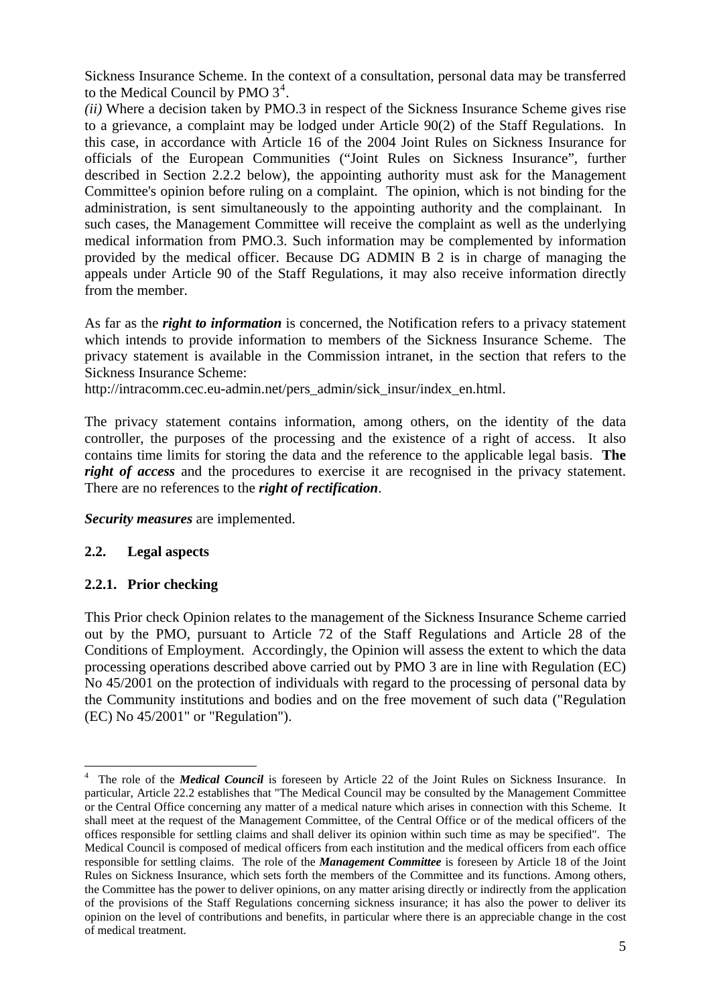Sickness Insurance Scheme. In the context of a consultation, personal data may be transferred to the Medical Council by PMO  $3<sup>4</sup>$  $3<sup>4</sup>$  $3<sup>4</sup>$ .

*(ii)* Where a decision taken by PMO.3 in respect of the Sickness Insurance Scheme gives rise to a grievance, a complaint may be lodged under Article 90(2) of the Staff Regulations. In this case, in accordance with Article 16 of the 2004 Joint Rules on Sickness Insurance for officials of the European Communities ("Joint Rules on Sickness Insurance", further described in Section 2.2.2 below), the appointing authority must ask for the Management Committee's opinion before ruling on a complaint. The opinion, which is not binding for the administration, is sent simultaneously to the appointing authority and the complainant. In such cases, the Management Committee will receive the complaint as well as the underlying medical information from PMO.3. Such information may be complemented by information provided by the medical officer. Because DG ADMIN B 2 is in charge of managing the appeals under Article 90 of the Staff Regulations, it may also receive information directly from the member.

As far as the *right to information* is concerned, the Notification refers to a privacy statement which intends to provide information to members of the Sickness Insurance Scheme. The privacy statement is available in the Commission intranet, in the section that refers to the Sickness Insurance Scheme:

http://intracomm.cec.eu-admin.net/pers\_admin/sick\_insur/index\_en.html.

The privacy statement contains information, among others, on the identity of the data controller, the purposes of the processing and the existence of a right of access. It also contains time limits for storing the data and the reference to the applicable legal basis. **The**  *right of access* and the procedures to exercise it are recognised in the privacy statement. There are no references to the *right of rectification*.

*Security measures* are implemented.

#### **2.2. Legal aspects**

### **2.2.1. Prior checking**

This Prior check Opinion relates to the management of the Sickness Insurance Scheme carried out by the PMO, pursuant to Article 72 of the Staff Regulations and Article 28 of the Conditions of Employment. Accordingly, the Opinion will assess the extent to which the data processing operations described above carried out by PMO 3 are in line with Regulation (EC) No 45/2001 on the protection of individuals with regard to the processing of personal data by the Community institutions and bodies and on the free movement of such data ("Regulation (EC) No 45/2001" or "Regulation").

<span id="page-4-0"></span><sup>1</sup> 4 The role of the *Medical Council* is foreseen by Article 22 of the Joint Rules on Sickness Insurance. In particular, Article 22.2 establishes that "The Medical Council may be consulted by the Management Committee or the Central Office concerning any matter of a medical nature which arises in connection with this Scheme. It shall meet at the request of the Management Committee, of the Central Office or of the medical officers of the offices responsible for settling claims and shall deliver its opinion within such time as may be specified". The Medical Council is composed of medical officers from each institution and the medical officers from each office responsible for settling claims. The role of the *Management Committee* is foreseen by Article 18 of the Joint Rules on Sickness Insurance, which sets forth the members of the Committee and its functions. Among others, the Committee has the power to deliver opinions, on any matter arising directly or indirectly from the application of the provisions of the Staff Regulations concerning sickness insurance; it has also the power to deliver its opinion on the level of contributions and benefits, in particular where there is an appreciable change in the cost of medical treatment.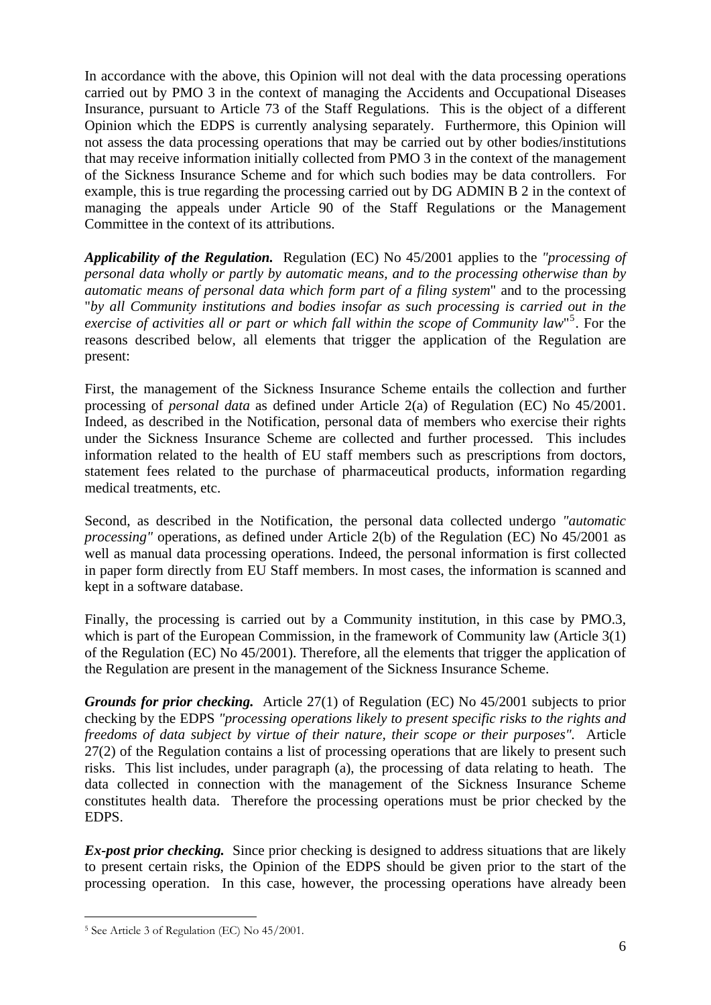In accordance with the above, this Opinion will not deal with the data processing operations carried out by PMO 3 in the context of managing the Accidents and Occupational Diseases Insurance, pursuant to Article 73 of the Staff Regulations. This is the object of a different Opinion which the EDPS is currently analysing separately. Furthermore, this Opinion will not assess the data processing operations that may be carried out by other bodies/institutions that may receive information initially collected from PMO 3 in the context of the management of the Sickness Insurance Scheme and for which such bodies may be data controllers. For example, this is true regarding the processing carried out by DG ADMIN B 2 in the context of managing the appeals under Article 90 of the Staff Regulations or the Management Committee in the context of its attributions.

*Applicability of the Regulation.* Regulation (EC) No 45/2001 applies to the *"processing of personal data wholly or partly by automatic means, and to the processing otherwise than by automatic means of personal data which form part of a filing system*" and to the processing "*by all Community institutions and bodies insofar as such processing is carried out in the*  exercise of activities all or part or which fall within the scope of Community law<sup>"[5](#page-5-0)</sup>. For the reasons described below, all elements that trigger the application of the Regulation are present:

First, the management of the Sickness Insurance Scheme entails the collection and further processing of *personal data* as defined under Article 2(a) of Regulation (EC) No 45/2001. Indeed, as described in the Notification, personal data of members who exercise their rights under the Sickness Insurance Scheme are collected and further processed. This includes information related to the health of EU staff members such as prescriptions from doctors, statement fees related to the purchase of pharmaceutical products, information regarding medical treatments, etc.

Second, as described in the Notification, the personal data collected undergo *"automatic processing"* operations, as defined under Article 2(b) of the Regulation (EC) No 45/2001 as well as manual data processing operations. Indeed, the personal information is first collected in paper form directly from EU Staff members. In most cases, the information is scanned and kept in a software database.

Finally, the processing is carried out by a Community institution, in this case by PMO.3, which is part of the European Commission, in the framework of Community law (Article 3(1) of the Regulation (EC) No 45/2001). Therefore, all the elements that trigger the application of the Regulation are present in the management of the Sickness Insurance Scheme.

*Grounds for prior checking.* Article 27(1) of Regulation (EC) No 45/2001 subjects to prior checking by the EDPS *"processing operations likely to present specific risks to the rights and freedoms of data subject by virtue of their nature, their scope or their purposes".* Article 27(2) of the Regulation contains a list of processing operations that are likely to present such risks. This list includes, under paragraph (a), the processing of data relating to heath. The data collected in connection with the management of the Sickness Insurance Scheme constitutes health data. Therefore the processing operations must be prior checked by the EDPS.

*Ex-post prior checking.* Since prior checking is designed to address situations that are likely to present certain risks, the Opinion of the EDPS should be given prior to the start of the processing operation. In this case, however, the processing operations have already been

1

<span id="page-5-0"></span><sup>5</sup> See Article 3 of Regulation (EC) No 45/2001.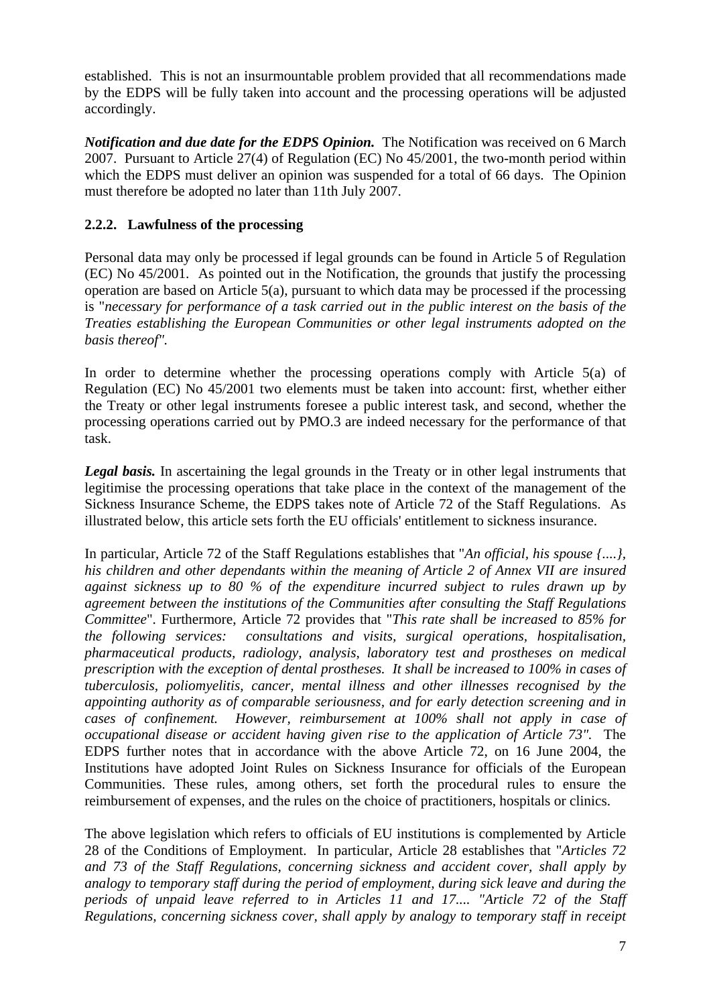established. This is not an insurmountable problem provided that all recommendations made by the EDPS will be fully taken into account and the processing operations will be adjusted accordingly.

*Notification and due date for the EDPS Opinion.* The Notification was received on 6 March 2007. Pursuant to Article 27(4) of Regulation (EC) No 45/2001, the two-month period within which the EDPS must deliver an opinion was suspended for a total of 66 days. The Opinion must therefore be adopted no later than 11th July 2007.

### **2.2.2. Lawfulness of the processing**

Personal data may only be processed if legal grounds can be found in Article 5 of Regulation (EC) No 45/2001. As pointed out in the Notification, the grounds that justify the processing operation are based on Article 5(a), pursuant to which data may be processed if the processing is "*necessary for performance of a task carried out in the public interest on the basis of the Treaties establishing the European Communities or other legal instruments adopted on the basis thereof".* 

In order to determine whether the processing operations comply with Article 5(a) of Regulation (EC) No 45/2001 two elements must be taken into account: first, whether either the Treaty or other legal instruments foresee a public interest task, and second, whether the processing operations carried out by PMO.3 are indeed necessary for the performance of that task.

*Legal basis.* In ascertaining the legal grounds in the Treaty or in other legal instruments that legitimise the processing operations that take place in the context of the management of the Sickness Insurance Scheme, the EDPS takes note of Article 72 of the Staff Regulations. As illustrated below, this article sets forth the EU officials' entitlement to sickness insurance.

In particular, Article 72 of the Staff Regulations establishes that "*An official, his spouse {....}, his children and other dependants within the meaning of Article 2 of Annex VII are insured against sickness up to 80 % of the expenditure incurred subject to rules drawn up by agreement between the institutions of the Communities after consulting the Staff Regulations Committee*". Furthermore, Article 72 provides that "*This rate shall be increased to 85% for the following services: consultations and visits, surgical operations, hospitalisation, pharmaceutical products, radiology, analysis, laboratory test and prostheses on medical prescription with the exception of dental prostheses. It shall be increased to 100% in cases of tuberculosis, poliomyelitis, cancer, mental illness and other illnesses recognised by the appointing authority as of comparable seriousness, and for early detection screening and in cases of confinement. However, reimbursement at 100% shall not apply in case of occupational disease or accident having given rise to the application of Article 73".* The EDPS further notes that in accordance with the above Article 72, on 16 June 2004, the Institutions have adopted Joint Rules on Sickness Insurance for officials of the European Communities. These rules, among others, set forth the procedural rules to ensure the reimbursement of expenses, and the rules on the choice of practitioners, hospitals or clinics.

The above legislation which refers to officials of EU institutions is complemented by Article 28 of the Conditions of Employment. In particular, Article 28 establishes that "*Articles 72 and 73 of the Staff Regulations, concerning sickness and accident cover, shall apply by analogy to temporary staff during the period of employment, during sick leave and during the periods of unpaid leave referred to in Articles 11 and 17.... "Article 72 of the Staff Regulations, concerning sickness cover, shall apply by analogy to temporary staff in receipt*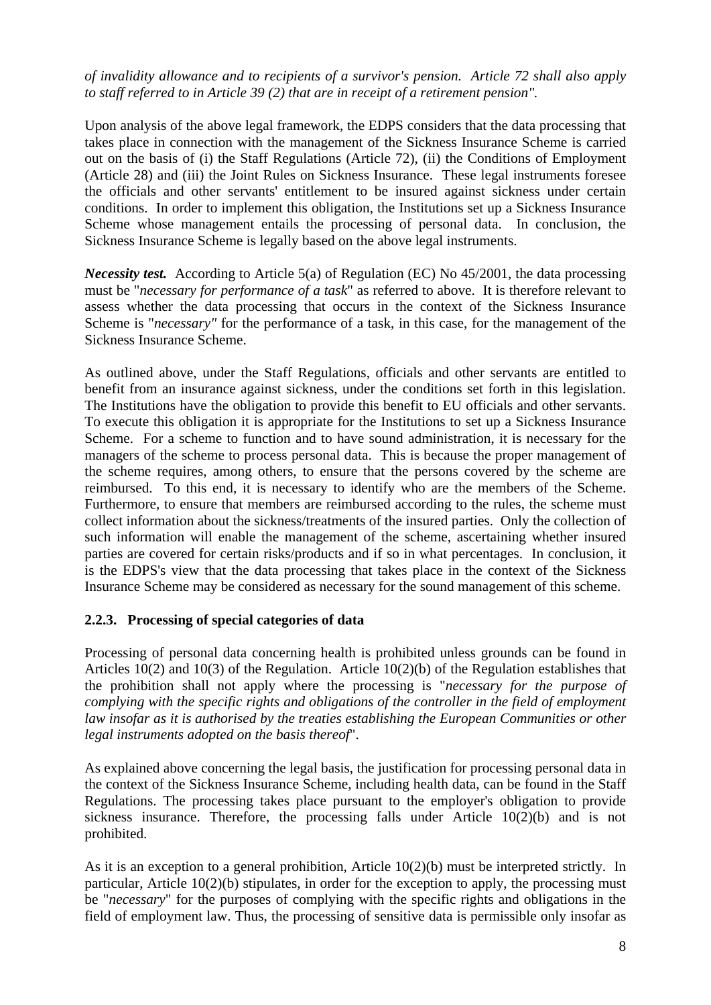*of invalidity allowance and to recipients of a survivor's pension. Article 72 shall also apply to staff referred to in Article 39 (2) that are in receipt of a retirement pension".* 

Upon analysis of the above legal framework, the EDPS considers that the data processing that takes place in connection with the management of the Sickness Insurance Scheme is carried out on the basis of (i) the Staff Regulations (Article 72), (ii) the Conditions of Employment (Article 28) and (iii) the Joint Rules on Sickness Insurance. These legal instruments foresee the officials and other servants' entitlement to be insured against sickness under certain conditions. In order to implement this obligation, the Institutions set up a Sickness Insurance Scheme whose management entails the processing of personal data. In conclusion, the Sickness Insurance Scheme is legally based on the above legal instruments.

*Necessity test.* According to Article 5(a) of Regulation (EC) No 45/2001, the data processing must be "*necessary for performance of a task*" as referred to above. It is therefore relevant to assess whether the data processing that occurs in the context of the Sickness Insurance Scheme is "*necessary"* for the performance of a task, in this case, for the management of the Sickness Insurance Scheme.

As outlined above, under the Staff Regulations, officials and other servants are entitled to benefit from an insurance against sickness, under the conditions set forth in this legislation. The Institutions have the obligation to provide this benefit to EU officials and other servants. To execute this obligation it is appropriate for the Institutions to set up a Sickness Insurance Scheme. For a scheme to function and to have sound administration, it is necessary for the managers of the scheme to process personal data. This is because the proper management of the scheme requires, among others, to ensure that the persons covered by the scheme are reimbursed. To this end, it is necessary to identify who are the members of the Scheme. Furthermore, to ensure that members are reimbursed according to the rules, the scheme must collect information about the sickness/treatments of the insured parties. Only the collection of such information will enable the management of the scheme, ascertaining whether insured parties are covered for certain risks/products and if so in what percentages. In conclusion, it is the EDPS's view that the data processing that takes place in the context of the Sickness Insurance Scheme may be considered as necessary for the sound management of this scheme.

### **2.2.3. Processing of special categories of data**

Processing of personal data concerning health is prohibited unless grounds can be found in Articles 10(2) and 10(3) of the Regulation. Article 10(2)(b) of the Regulation establishes that the prohibition shall not apply where the processing is "*necessary for the purpose of complying with the specific rights and obligations of the controller in the field of employment law insofar as it is authorised by the treaties establishing the European Communities or other legal instruments adopted on the basis thereof*".

As explained above concerning the legal basis, the justification for processing personal data in the context of the Sickness Insurance Scheme, including health data, can be found in the Staff Regulations. The processing takes place pursuant to the employer's obligation to provide sickness insurance. Therefore, the processing falls under Article 10(2)(b) and is not prohibited.

As it is an exception to a general prohibition, Article 10(2)(b) must be interpreted strictly. In particular, Article 10(2)(b) stipulates, in order for the exception to apply, the processing must be "*necessary*" for the purposes of complying with the specific rights and obligations in the field of employment law. Thus, the processing of sensitive data is permissible only insofar as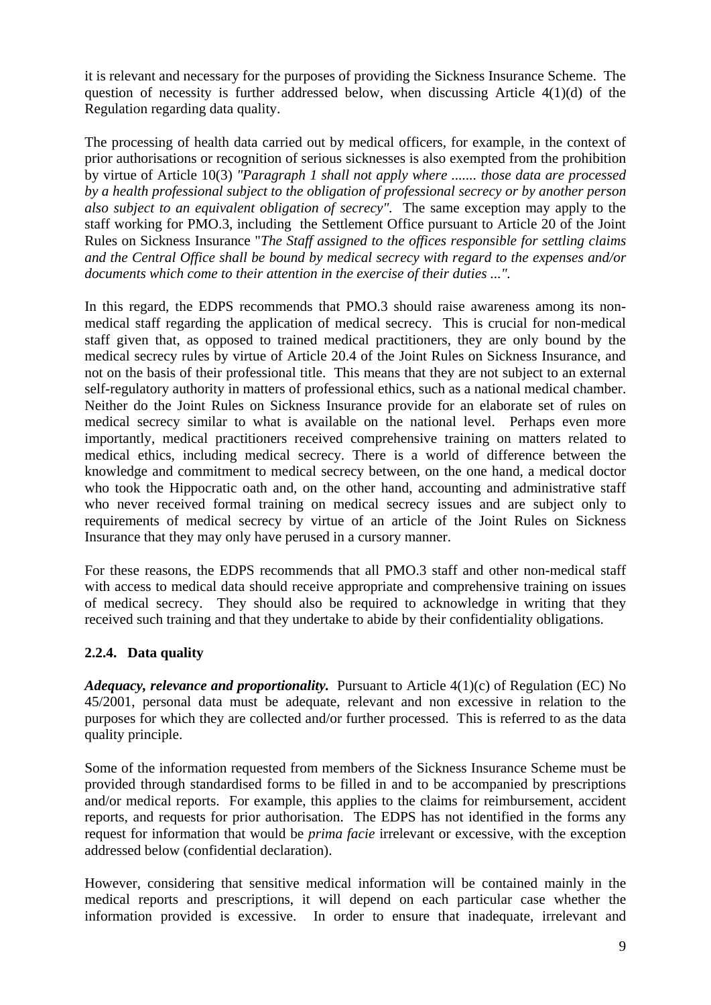it is relevant and necessary for the purposes of providing the Sickness Insurance Scheme. The question of necessity is further addressed below, when discussing Article 4(1)(d) of the Regulation regarding data quality.

The processing of health data carried out by medical officers, for example, in the context of prior authorisations or recognition of serious sicknesses is also exempted from the prohibition by virtue of Article 10(3) *"Paragraph 1 shall not apply where ....... those data are processed by a health professional subject to the obligation of professional secrecy or by another person also subject to an equivalent obligation of secrecy".* The same exception may apply to the staff working for PMO.3, including the Settlement Office pursuant to Article 20 of the Joint Rules on Sickness Insurance "*The Staff assigned to the offices responsible for settling claims and the Central Office shall be bound by medical secrecy with regard to the expenses and/or documents which come to their attention in the exercise of their duties ...".*

In this regard, the EDPS recommends that PMO.3 should raise awareness among its nonmedical staff regarding the application of medical secrecy. This is crucial for non-medical staff given that, as opposed to trained medical practitioners, they are only bound by the medical secrecy rules by virtue of Article 20.4 of the Joint Rules on Sickness Insurance, and not on the basis of their professional title. This means that they are not subject to an external self-regulatory authority in matters of professional ethics, such as a national medical chamber. Neither do the Joint Rules on Sickness Insurance provide for an elaborate set of rules on medical secrecy similar to what is available on the national level. Perhaps even more importantly, medical practitioners received comprehensive training on matters related to medical ethics, including medical secrecy. There is a world of difference between the knowledge and commitment to medical secrecy between, on the one hand, a medical doctor who took the Hippocratic oath and, on the other hand, accounting and administrative staff who never received formal training on medical secrecy issues and are subject only to requirements of medical secrecy by virtue of an article of the Joint Rules on Sickness Insurance that they may only have perused in a cursory manner.

For these reasons, the EDPS recommends that all PMO.3 staff and other non-medical staff with access to medical data should receive appropriate and comprehensive training on issues of medical secrecy. They should also be required to acknowledge in writing that they received such training and that they undertake to abide by their confidentiality obligations.

# **2.2.4. Data quality**

*Adequacy, relevance and proportionality.* Pursuant to Article 4(1)(c) of Regulation (EC) No 45/2001, personal data must be adequate, relevant and non excessive in relation to the purposes for which they are collected and/or further processed. This is referred to as the data quality principle.

Some of the information requested from members of the Sickness Insurance Scheme must be provided through standardised forms to be filled in and to be accompanied by prescriptions and/or medical reports. For example, this applies to the claims for reimbursement, accident reports, and requests for prior authorisation. The EDPS has not identified in the forms any request for information that would be *prima facie* irrelevant or excessive, with the exception addressed below (confidential declaration).

However, considering that sensitive medical information will be contained mainly in the medical reports and prescriptions, it will depend on each particular case whether the information provided is excessive. In order to ensure that inadequate, irrelevant and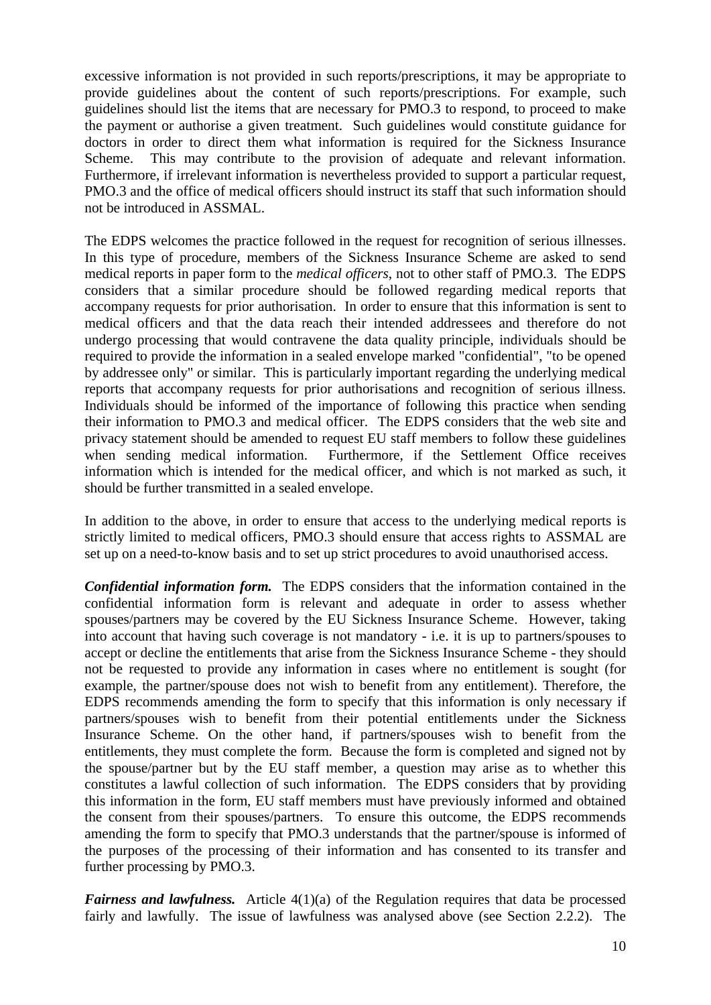excessive information is not provided in such reports/prescriptions, it may be appropriate to provide guidelines about the content of such reports/prescriptions. For example, such guidelines should list the items that are necessary for PMO.3 to respond, to proceed to make the payment or authorise a given treatment. Such guidelines would constitute guidance for doctors in order to direct them what information is required for the Sickness Insurance Scheme. This may contribute to the provision of adequate and relevant information. Furthermore, if irrelevant information is nevertheless provided to support a particular request, PMO.3 and the office of medical officers should instruct its staff that such information should not be introduced in ASSMAL.

The EDPS welcomes the practice followed in the request for recognition of serious illnesses. In this type of procedure, members of the Sickness Insurance Scheme are asked to send medical reports in paper form to the *medical officers*, not to other staff of PMO.3. The EDPS considers that a similar procedure should be followed regarding medical reports that accompany requests for prior authorisation. In order to ensure that this information is sent to medical officers and that the data reach their intended addressees and therefore do not undergo processing that would contravene the data quality principle, individuals should be required to provide the information in a sealed envelope marked "confidential", "to be opened by addressee only" or similar. This is particularly important regarding the underlying medical reports that accompany requests for prior authorisations and recognition of serious illness. Individuals should be informed of the importance of following this practice when sending their information to PMO.3 and medical officer. The EDPS considers that the web site and privacy statement should be amended to request EU staff members to follow these guidelines when sending medical information. Furthermore, if the Settlement Office receives information which is intended for the medical officer, and which is not marked as such, it should be further transmitted in a sealed envelope.

In addition to the above, in order to ensure that access to the underlying medical reports is strictly limited to medical officers, PMO.3 should ensure that access rights to ASSMAL are set up on a need-to-know basis and to set up strict procedures to avoid unauthorised access.

*Confidential information form.* The EDPS considers that the information contained in the confidential information form is relevant and adequate in order to assess whether spouses/partners may be covered by the EU Sickness Insurance Scheme. However, taking into account that having such coverage is not mandatory - i.e. it is up to partners/spouses to accept or decline the entitlements that arise from the Sickness Insurance Scheme - they should not be requested to provide any information in cases where no entitlement is sought (for example, the partner/spouse does not wish to benefit from any entitlement). Therefore, the EDPS recommends amending the form to specify that this information is only necessary if partners/spouses wish to benefit from their potential entitlements under the Sickness Insurance Scheme. On the other hand, if partners/spouses wish to benefit from the entitlements, they must complete the form. Because the form is completed and signed not by the spouse/partner but by the EU staff member, a question may arise as to whether this constitutes a lawful collection of such information. The EDPS considers that by providing this information in the form, EU staff members must have previously informed and obtained the consent from their spouses/partners. To ensure this outcome, the EDPS recommends amending the form to specify that PMO.3 understands that the partner/spouse is informed of the purposes of the processing of their information and has consented to its transfer and further processing by PMO.3.

*Fairness and lawfulness.* Article 4(1)(a) of the Regulation requires that data be processed fairly and lawfully. The issue of lawfulness was analysed above (see Section 2.2.2). The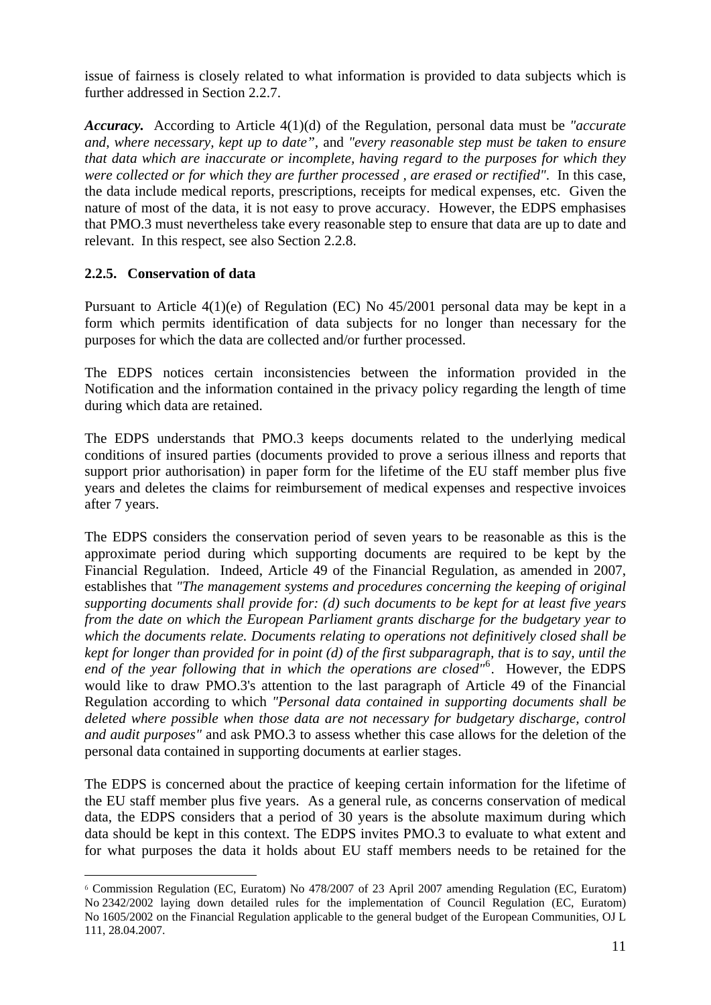issue of fairness is closely related to what information is provided to data subjects which is further addressed in Section 2.2.7.

*Accuracy.* According to Article 4(1)(d) of the Regulation, personal data must be *"accurate and, where necessary, kept up to date",* and *"every reasonable step must be taken to ensure that data which are inaccurate or incomplete, having regard to the purposes for which they were collected or for which they are further processed , are erased or rectified"*. In this case, the data include medical reports, prescriptions, receipts for medical expenses, etc. Given the nature of most of the data, it is not easy to prove accuracy. However, the EDPS emphasises that PMO.3 must nevertheless take every reasonable step to ensure that data are up to date and relevant. In this respect, see also Section 2.2.8.

# **2.2.5. Conservation of data**

1

Pursuant to Article 4(1)(e) of Regulation (EC) No 45/2001 personal data may be kept in a form which permits identification of data subjects for no longer than necessary for the purposes for which the data are collected and/or further processed.

The EDPS notices certain inconsistencies between the information provided in the Notification and the information contained in the privacy policy regarding the length of time during which data are retained.

The EDPS understands that PMO.3 keeps documents related to the underlying medical conditions of insured parties (documents provided to prove a serious illness and reports that support prior authorisation) in paper form for the lifetime of the EU staff member plus five years and deletes the claims for reimbursement of medical expenses and respective invoices after 7 years.

The EDPS considers the conservation period of seven years to be reasonable as this is the approximate period during which supporting documents are required to be kept by the Financial Regulation. Indeed, Article 49 of the Financial Regulation, as amended in 2007, establishes that *"The management systems and procedures concerning the keeping of original supporting documents shall provide for: (d) such documents to be kept for at least five years from the date on which the European Parliament grants discharge for the budgetary year to which the documents relate. Documents relating to operations not definitively closed shall be kept for longer than provided for in point (d) of the first subparagraph, that is to say, until the end of the year following that in which the operations are closed"*[6](#page-10-0) . However, the EDPS would like to draw PMO.3's attention to the last paragraph of Article 49 of the Financial Regulation according to which *"Personal data contained in supporting documents shall be deleted where possible when those data are not necessary for budgetary discharge, control and audit purposes"* and ask PMO.3 to assess whether this case allows for the deletion of the personal data contained in supporting documents at earlier stages.

The EDPS is concerned about the practice of keeping certain information for the lifetime of the EU staff member plus five years. As a general rule, as concerns conservation of medical data, the EDPS considers that a period of 30 years is the absolute maximum during which data should be kept in this context. The EDPS invites PMO.3 to evaluate to what extent and for what purposes the data it holds about EU staff members needs to be retained for the

<span id="page-10-0"></span><sup>6</sup> Commission Regulation (EC, Euratom) No 478/2007 of 23 April 2007 amending Regulation (EC, Euratom) No 2342/2002 laying down detailed rules for the implementation of Council Regulation (EC, Euratom) No 1605/2002 on the Financial Regulation applicable to the general budget of the European Communities, OJ L 111, 28.04.2007.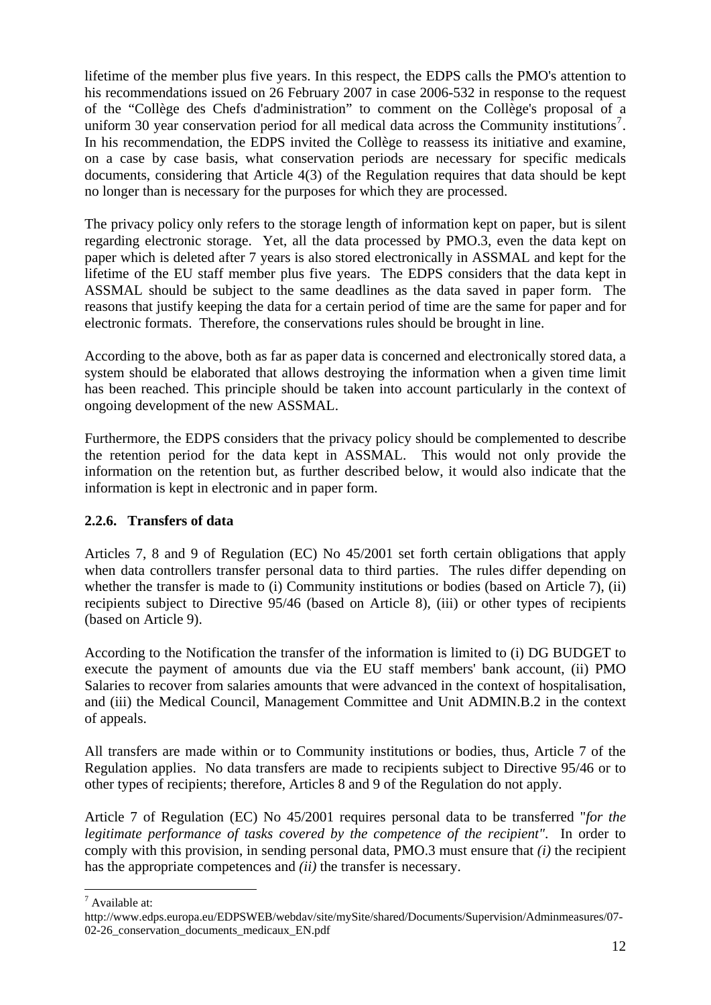lifetime of the member plus five years. In this respect, the EDPS calls the PMO's attention to his recommendations issued on 26 February 2007 in case 2006-532 in response to the request of the "Collège des Chefs d'administration" to comment on the Collège's proposal of a uniform 30 year conservation period for all medical data across the Community institutions<sup>[7](#page-11-0)</sup>. In his recommendation, the EDPS invited the Collège to reassess its initiative and examine, on a case by case basis, what conservation periods are necessary for specific medicals documents, considering that Article 4(3) of the Regulation requires that data should be kept no longer than is necessary for the purposes for which they are processed.

The privacy policy only refers to the storage length of information kept on paper, but is silent regarding electronic storage. Yet, all the data processed by PMO.3, even the data kept on paper which is deleted after 7 years is also stored electronically in ASSMAL and kept for the lifetime of the EU staff member plus five years. The EDPS considers that the data kept in ASSMAL should be subject to the same deadlines as the data saved in paper form. The reasons that justify keeping the data for a certain period of time are the same for paper and for electronic formats. Therefore, the conservations rules should be brought in line.

According to the above, both as far as paper data is concerned and electronically stored data, a system should be elaborated that allows destroying the information when a given time limit has been reached. This principle should be taken into account particularly in the context of ongoing development of the new ASSMAL.

Furthermore, the EDPS considers that the privacy policy should be complemented to describe the retention period for the data kept in ASSMAL. This would not only provide the information on the retention but, as further described below, it would also indicate that the information is kept in electronic and in paper form.

# **2.2.6. Transfers of data**

Articles 7, 8 and 9 of Regulation (EC) No 45/2001 set forth certain obligations that apply when data controllers transfer personal data to third parties. The rules differ depending on whether the transfer is made to (i) Community institutions or bodies (based on Article 7), (ii) recipients subject to Directive 95/46 (based on Article 8), (iii) or other types of recipients (based on Article 9).

According to the Notification the transfer of the information is limited to (i) DG BUDGET to execute the payment of amounts due via the EU staff members' bank account, (ii) PMO Salaries to recover from salaries amounts that were advanced in the context of hospitalisation, and (iii) the Medical Council, Management Committee and Unit ADMIN.B.2 in the context of appeals.

All transfers are made within or to Community institutions or bodies, thus, Article 7 of the Regulation applies. No data transfers are made to recipients subject to Directive 95/46 or to other types of recipients; therefore, Articles 8 and 9 of the Regulation do not apply.

Article 7 of Regulation (EC) No 45/2001 requires personal data to be transferred "*for the legitimate performance of tasks covered by the competence of the recipient"*. In order to comply with this provision, in sending personal data, PMO.3 must ensure that *(i)* the recipient has the appropriate competences and *(ii)* the transfer is necessary.

1  $7$  Available at:

<span id="page-11-0"></span>http://www.edps.europa.eu/EDPSWEB/webdav/site/mySite/shared/Documents/Supervision/Adminmeasures/07- 02-26\_conservation\_documents\_medicaux\_EN.pdf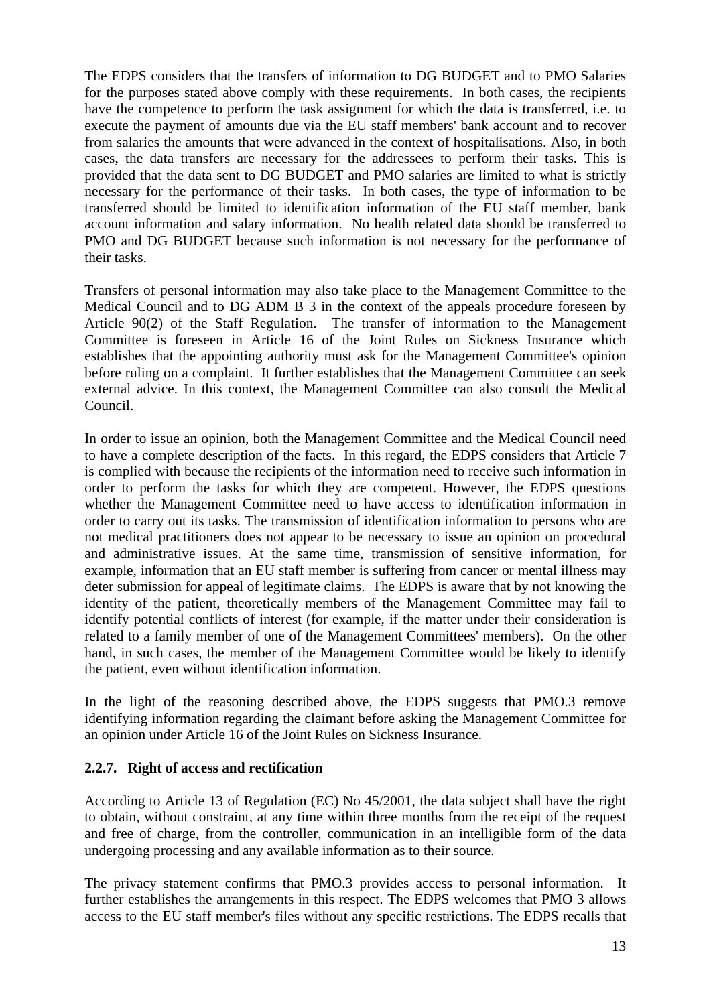The EDPS considers that the transfers of information to DG BUDGET and to PMO Salaries for the purposes stated above comply with these requirements. In both cases, the recipients have the competence to perform the task assignment for which the data is transferred, i.e. to execute the payment of amounts due via the EU staff members' bank account and to recover from salaries the amounts that were advanced in the context of hospitalisations. Also, in both cases, the data transfers are necessary for the addressees to perform their tasks. This is provided that the data sent to DG BUDGET and PMO salaries are limited to what is strictly necessary for the performance of their tasks. In both cases, the type of information to be transferred should be limited to identification information of the EU staff member, bank account information and salary information. No health related data should be transferred to PMO and DG BUDGET because such information is not necessary for the performance of their tasks.

Transfers of personal information may also take place to the Management Committee to the Medical Council and to DG ADM B 3 in the context of the appeals procedure foreseen by Article 90(2) of the Staff Regulation. The transfer of information to the Management Committee is foreseen in Article 16 of the Joint Rules on Sickness Insurance which establishes that the appointing authority must ask for the Management Committee's opinion before ruling on a complaint. It further establishes that the Management Committee can seek external advice. In this context, the Management Committee can also consult the Medical Council.

In order to issue an opinion, both the Management Committee and the Medical Council need to have a complete description of the facts. In this regard, the EDPS considers that Article 7 is complied with because the recipients of the information need to receive such information in order to perform the tasks for which they are competent. However, the EDPS questions whether the Management Committee need to have access to identification information in order to carry out its tasks. The transmission of identification information to persons who are not medical practitioners does not appear to be necessary to issue an opinion on procedural and administrative issues. At the same time, transmission of sensitive information, for example, information that an EU staff member is suffering from cancer or mental illness may deter submission for appeal of legitimate claims. The EDPS is aware that by not knowing the identity of the patient, theoretically members of the Management Committee may fail to identify potential conflicts of interest (for example, if the matter under their consideration is related to a family member of one of the Management Committees' members). On the other hand, in such cases, the member of the Management Committee would be likely to identify the patient, even without identification information.

In the light of the reasoning described above, the EDPS suggests that PMO.3 remove identifying information regarding the claimant before asking the Management Committee for an opinion under Article 16 of the Joint Rules on Sickness Insurance.

### **2.2.7. Right of access and rectification**

According to Article 13 of Regulation (EC) No 45/2001, the data subject shall have the right to obtain, without constraint, at any time within three months from the receipt of the request and free of charge, from the controller, communication in an intelligible form of the data undergoing processing and any available information as to their source.

The privacy statement confirms that PMO.3 provides access to personal information. It further establishes the arrangements in this respect. The EDPS welcomes that PMO 3 allows access to the EU staff member's files without any specific restrictions. The EDPS recalls that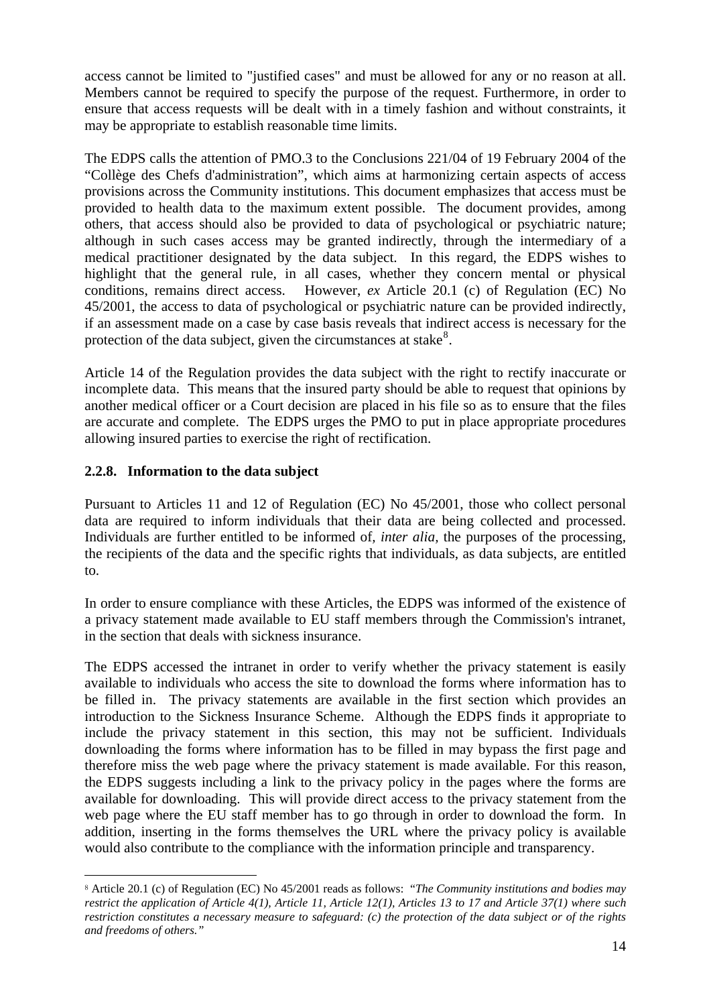access cannot be limited to "justified cases" and must be allowed for any or no reason at all. Members cannot be required to specify the purpose of the request. Furthermore, in order to ensure that access requests will be dealt with in a timely fashion and without constraints, it may be appropriate to establish reasonable time limits.

The EDPS calls the attention of PMO.3 to the Conclusions 221/04 of 19 February 2004 of the "Collège des Chefs d'administration", which aims at harmonizing certain aspects of access provisions across the Community institutions. This document emphasizes that access must be provided to health data to the maximum extent possible. The document provides, among others, that access should also be provided to data of psychological or psychiatric nature; although in such cases access may be granted indirectly, through the intermediary of a medical practitioner designated by the data subject. In this regard, the EDPS wishes to highlight that the general rule, in all cases, whether they concern mental or physical conditions, remains direct access.However, *ex* Article 20.1 (c) of Regulation (EC) No 45/2001, the access to data of psychological or psychiatric nature can be provided indirectly, if an assessment made on a case by case basis reveals that indirect access is necessary for the protection of the data subject, given the circumstances at stake $8$ .

Article 14 of the Regulation provides the data subject with the right to rectify inaccurate or incomplete data. This means that the insured party should be able to request that opinions by another medical officer or a Court decision are placed in his file so as to ensure that the files are accurate and complete. The EDPS urges the PMO to put in place appropriate procedures allowing insured parties to exercise the right of rectification.

# **2.2.8. Information to the data subject**

1

Pursuant to Articles 11 and 12 of Regulation (EC) No 45/2001, those who collect personal data are required to inform individuals that their data are being collected and processed. Individuals are further entitled to be informed of*, inter alia,* the purposes of the processing, the recipients of the data and the specific rights that individuals, as data subjects, are entitled to.

In order to ensure compliance with these Articles, the EDPS was informed of the existence of a privacy statement made available to EU staff members through the Commission's intranet, in the section that deals with sickness insurance.

The EDPS accessed the intranet in order to verify whether the privacy statement is easily available to individuals who access the site to download the forms where information has to be filled in. The privacy statements are available in the first section which provides an introduction to the Sickness Insurance Scheme. Although the EDPS finds it appropriate to include the privacy statement in this section, this may not be sufficient. Individuals downloading the forms where information has to be filled in may bypass the first page and therefore miss the web page where the privacy statement is made available. For this reason, the EDPS suggests including a link to the privacy policy in the pages where the forms are available for downloading. This will provide direct access to the privacy statement from the web page where the EU staff member has to go through in order to download the form. In addition, inserting in the forms themselves the URL where the privacy policy is available would also contribute to the compliance with the information principle and transparency.

<span id="page-13-0"></span><sup>8</sup> Article 20.1 (c) of Regulation (EC) No 45/2001 reads as follows: "*The Community institutions and bodies may restrict the application of Article 4(1), Article 11, Article 12(1), Articles 13 to 17 and Article 37(1) where such restriction constitutes a necessary measure to safeguard: (c) the protection of the data subject or of the rights and freedoms of others."*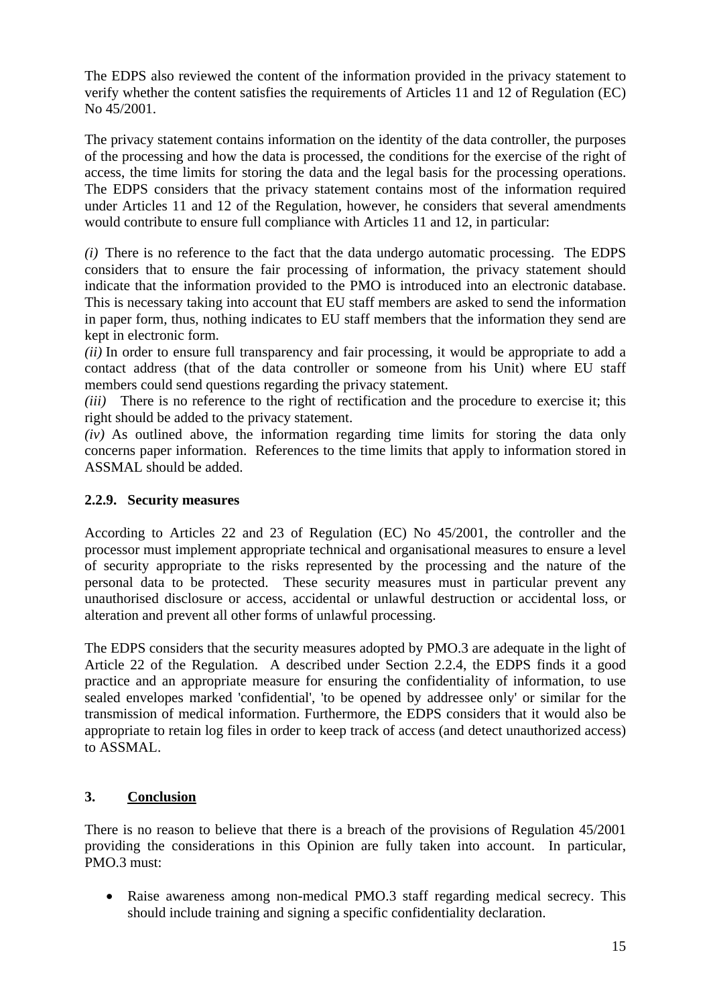The EDPS also reviewed the content of the information provided in the privacy statement to verify whether the content satisfies the requirements of Articles 11 and 12 of Regulation (EC) No 45/2001.

The privacy statement contains information on the identity of the data controller, the purposes of the processing and how the data is processed, the conditions for the exercise of the right of access, the time limits for storing the data and the legal basis for the processing operations. The EDPS considers that the privacy statement contains most of the information required under Articles 11 and 12 of the Regulation, however, he considers that several amendments would contribute to ensure full compliance with Articles 11 and 12, in particular:

*(i)* There is no reference to the fact that the data undergo automatic processing. The EDPS considers that to ensure the fair processing of information, the privacy statement should indicate that the information provided to the PMO is introduced into an electronic database. This is necessary taking into account that EU staff members are asked to send the information in paper form, thus, nothing indicates to EU staff members that the information they send are kept in electronic form.

*(ii)* In order to ensure full transparency and fair processing, it would be appropriate to add a contact address (that of the data controller or someone from his Unit) where EU staff members could send questions regarding the privacy statement.

*(iii)* There is no reference to the right of rectification and the procedure to exercise it; this right should be added to the privacy statement.

*(iv)* As outlined above, the information regarding time limits for storing the data only concerns paper information. References to the time limits that apply to information stored in ASSMAL should be added.

## **2.2.9. Security measures**

According to Articles 22 and 23 of Regulation (EC) No 45/2001, the controller and the processor must implement appropriate technical and organisational measures to ensure a level of security appropriate to the risks represented by the processing and the nature of the personal data to be protected. These security measures must in particular prevent any unauthorised disclosure or access, accidental or unlawful destruction or accidental loss, or alteration and prevent all other forms of unlawful processing.

The EDPS considers that the security measures adopted by PMO.3 are adequate in the light of Article 22 of the Regulation. A described under Section 2.2.4, the EDPS finds it a good practice and an appropriate measure for ensuring the confidentiality of information, to use sealed envelopes marked 'confidential', 'to be opened by addressee only' or similar for the transmission of medical information. Furthermore, the EDPS considers that it would also be appropriate to retain log files in order to keep track of access (and detect unauthorized access) to ASSMAL.

### **3. Conclusion**

There is no reason to believe that there is a breach of the provisions of Regulation 45/2001 providing the considerations in this Opinion are fully taken into account. In particular, PMO.3 must:

• Raise awareness among non-medical PMO.3 staff regarding medical secrecy. This should include training and signing a specific confidentiality declaration.